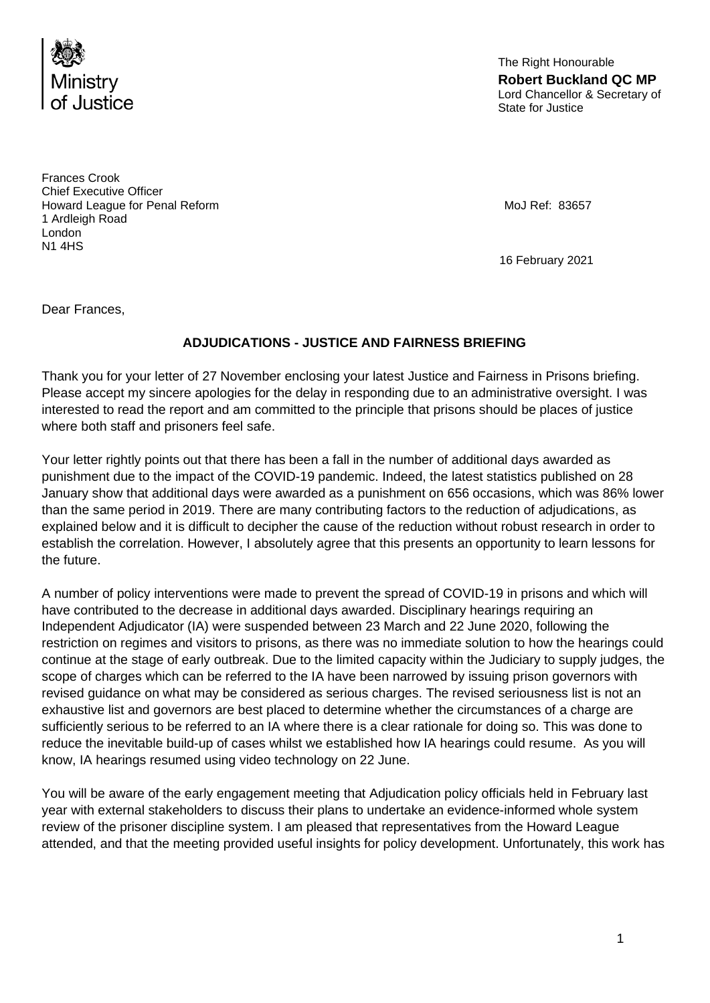

The Right Honourable **Robert Buckland QC MP**  Lord Chancellor & Secretary of State for Justice

Frances Crook Chief Executive Officer Howard League for Penal Reform **MoJ Refision** MoJ Ref: 83657 1 Ardleigh Road London N1 4HS

16 February 2021

Dear Frances,

## **ADJUDICATIONS - JUSTICE AND FAIRNESS BRIEFING**

Thank you for your letter of 27 November enclosing your latest Justice and Fairness in Prisons briefing. Please accept my sincere apologies for the delay in responding due to an administrative oversight. I was interested to read the report and am committed to the principle that prisons should be places of justice where both staff and prisoners feel safe.

Your letter rightly points out that there has been a fall in the number of additional days awarded as punishment due to the impact of the COVID-19 pandemic. Indeed, the latest statistics published on 28 January show that additional days were awarded as a punishment on 656 occasions, which was 86% lower than the same period in 2019. There are many contributing factors to the reduction of adjudications, as explained below and it is difficult to decipher the cause of the reduction without robust research in order to establish the correlation. However, I absolutely agree that this presents an opportunity to learn lessons for the future.

A number of policy interventions were made to prevent the spread of COVID-19 in prisons and which will have contributed to the decrease in additional days awarded. Disciplinary hearings requiring an Independent Adjudicator (IA) were suspended between 23 March and 22 June 2020, following the restriction on regimes and visitors to prisons, as there was no immediate solution to how the hearings could continue at the stage of early outbreak. Due to the limited capacity within the Judiciary to supply judges, the scope of charges which can be referred to the IA have been narrowed by issuing prison governors with revised guidance on what may be considered as serious charges. The revised seriousness list is not an exhaustive list and governors are best placed to determine whether the circumstances of a charge are sufficiently serious to be referred to an IA where there is a clear rationale for doing so. This was done to reduce the inevitable build-up of cases whilst we established how IA hearings could resume. As you will know, IA hearings resumed using video technology on 22 June.

You will be aware of the early engagement meeting that Adjudication policy officials held in February last year with external stakeholders to discuss their plans to undertake an evidence-informed whole system review of the prisoner discipline system. I am pleased that representatives from the Howard League attended, and that the meeting provided useful insights for policy development. Unfortunately, this work has